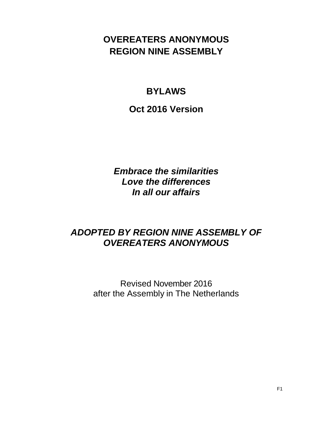# **OVEREATERS ANONYMOUS REGION NINE ASSEMBLY**

# **BYLAWS**

**Oct 2016 Version**

*Embrace the similarities Love the differences In all our affairs*

# *ADOPTED BY REGION NINE ASSEMBLY OF OVEREATERS ANONYMOUS*

Revised November 2016 after the Assembly in The Netherlands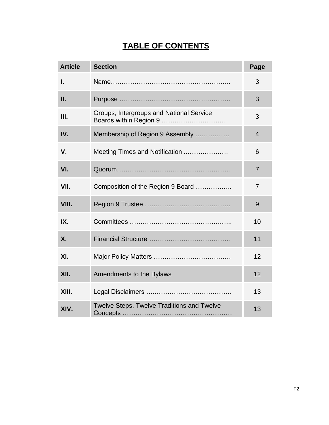# **TABLE OF CONTENTS**

| <b>Article</b> | <b>Section</b>                                                     | Page           |
|----------------|--------------------------------------------------------------------|----------------|
| I.             |                                                                    | 3              |
| П.             |                                                                    | 3              |
| Ш.             | Groups, Intergroups and National Service<br>Boards within Region 9 | 3              |
| IV.            | Membership of Region 9 Assembly                                    | $\overline{4}$ |
| V.             | Meeting Times and Notification                                     | 6              |
| VI.            |                                                                    | $\overline{7}$ |
| VII.           | Composition of the Region 9 Board                                  | $\overline{7}$ |
| VIII.          |                                                                    | 9              |
| IX.            |                                                                    | 10             |
| <b>X.</b>      |                                                                    | 11             |
| XI.            |                                                                    | 12             |
| XII.           | Amendments to the Bylaws                                           | 12             |
| XIII.          |                                                                    | 13             |
| XIV.           | Twelve Steps, Twelve Traditions and Twelve                         | 13             |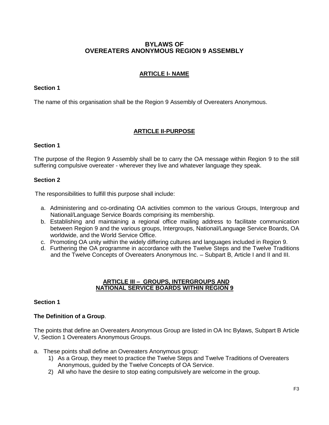# **BYLAWS OF OVEREATERS ANONYMOUS REGION 9 ASSEMBLY**

## **ARTICLE I- NAME**

## **Section 1**

The name of this organisation shall be the Region 9 Assembly of Overeaters Anonymous.

## **ARTICLE II-PURPOSE**

## **Section 1**

The purpose of the Region 9 Assembly shall be to carry the OA message within Region 9 to the still suffering compulsive overeater - wherever they live and whatever language they speak.

## **Section 2**

The responsibilities to fulfill this purpose shall include:

- a. Administering and co-ordinating OA activities common to the various Groups, Intergroup and National/Language Service Boards comprising its membership.
- b. Establishing and maintaining a regional office mailing address to facilitate communication between Region 9 and the various groups, Intergroups, National/Language Service Boards, OA worldwide, and the World Service Office.
- c. Promoting OA unity within the widely differing cultures and languages included in Region 9.
- d. Furthering the OA programme in accordance with the Twelve Steps and the Twelve Traditions and the Twelve Concepts of Overeaters Anonymous Inc. – Subpart B, Article I and II and III.

#### **ARTICLE III – GROUPS, INTERGROUPS AND NATIONAL SERVICE BOARDS WITHIN REGION 9**

#### **Section 1**

#### **The Definition of a Group**.

The points that define an Overeaters Anonymous Group are listed in OA Inc Bylaws, Subpart B Article V, Section 1 Overeaters Anonymous Groups.

- a. These points shall define an Overeaters Anonymous group:
	- 1) As a Group, they meet to practice the Twelve Steps and Twelve Traditions of Overeaters Anonymous, guided by the Twelve Concepts of OA Service.
	- 2) All who have the desire to stop eating compulsively are welcome in the group.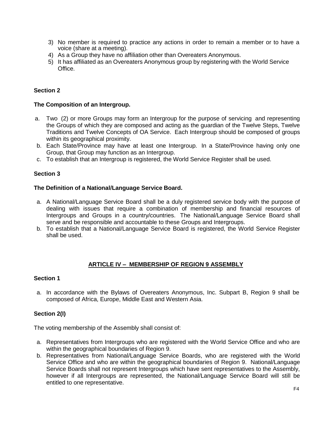- 3) No member is required to practice any actions in order to remain a member or to have a voice (share at a meeting).
- 4) As a Group they have no affiliation other than Overeaters Anonymous.
- 5) It has affiliated as an Overeaters Anonymous group by registering with the World Service Office.

## **Section 2**

## **The Composition of an Intergroup.**

- a. Two (2) or more Groups may form an Intergroup for the purpose of servicing and representing the Groups of which they are composed and acting as the guardian of the Twelve Steps, Twelve Traditions and Twelve Concepts of OA Service. Each Intergroup should be composed of groups within its geographical proximity.
- b. Each State/Province may have at least one Intergroup. In a State/Province having only one Group, that Group may function as an Intergroup.
- c. To establish that an Intergroup is registered, the World Service Register shall be used.

## **Section 3**

## **The Definition of a National/Language Service Board.**

- a. A National/Language Service Board shall be a duly registered service body with the purpose of dealing with issues that require a combination of membership and financial resources of Intergroups and Groups in a country/countries. The National/Language Service Board shall serve and be responsible and accountable to these Groups and Intergroups.
- b. To establish that a National/Language Service Board is registered, the World Service Register shall be used.

## **ARTICLE IV – MEMBERSHIP OF REGION 9 ASSEMBLY**

## **Section 1**

a. In accordance with the Bylaws of Overeaters Anonymous, Inc. Subpart B, Region 9 shall be composed of Africa, Europe, Middle East and Western Asia.

## **Section 2(I)**

The voting membership of the Assembly shall consist of:

- a. Representatives from Intergroups who are registered with the World Service Office and who are within the geographical boundaries of Region 9.
- b. Representatives from National/Language Service Boards, who are registered with the World Service Office and who are within the geographical boundaries of Region 9. National/Language Service Boards shall not represent Intergroups which have sent representatives to the Assembly, however if all Intergroups are represented, the National/Language Service Board will still be entitled to one representative.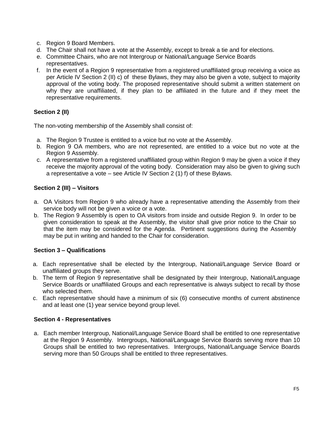- c. Region 9 Board Members.
- d. The Chair shall not have a vote at the Assembly, except to break a tie and for elections.
- e. Committee Chairs, who are not Intergroup or National/Language Service Boards representatives.
- f. In the event of a Region 9 representative from a registered unaffiliated group receiving a voice as per Article IV Section 2 (II) c) of these Bylaws, they may also be given a vote, subject to majority approval of the voting body. The proposed representative should submit a written statement on why they are unaffiliated, if they plan to be affiliated in the future and if they meet the representative requirements.

# **Section 2 (II)**

The non-voting membership of the Assembly shall consist of:

- a. The Region 9 Trustee is entitled to a voice but no vote at the Assembly.
- b. Region 9 OA members, who are not represented, are entitled to a voice but no vote at the Region 9 Assembly.
- c. A representative from a registered unaffiliated group within Region 9 may be given a voice if they receive the majority approval of the voting body. Consideration may also be given to giving such a representative a vote – see Article IV Section 2 (1) f) of these Bylaws.

# **Section 2 (III) – Visitors**

- a. OA Visitors from Region 9 who already have a representative attending the Assembly from their service body will not be given a voice or a vote.
- b. The Region 9 Assembly is open to OA visitors from inside and outside Region 9. In order to be given consideration to speak at the Assembly, the visitor shall give prior notice to the Chair so that the item may be considered for the Agenda. Pertinent suggestions during the Assembly may be put in writing and handed to the Chair for consideration.

## **Section 3 – Qualifications**

- a. Each representative shall be elected by the Intergroup, National/Language Service Board or unaffiliated groups they serve.
- b. The term of Region 9 representative shall be designated by their Intergroup, National/Language Service Boards or unaffiliated Groups and each representative is always subject to recall by those who selected them.
- c. Each representative should have a minimum of six (6) consecutive months of current abstinence and at least one (1) year service beyond group level.

## **Section 4 - Representatives**

a. Each member Intergroup, National/Language Service Board shall be entitled to one representative at the Region 9 Assembly. Intergroups, National/Language Service Boards serving more than 10 Groups shall be entitled to two representatives. Intergroups, National/Language Service Boards serving more than 50 Groups shall be entitled to three representatives.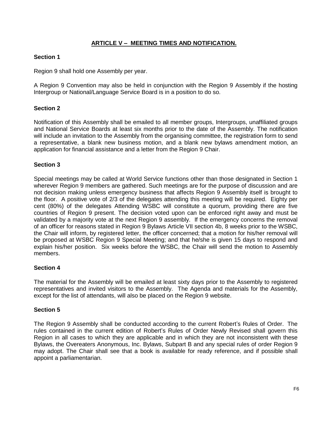# **ARTICLE V – MEETING TIMES AND NOTIFICATION.**

## **Section 1**

Region 9 shall hold one Assembly per year.

A Region 9 Convention may also be held in conjunction with the Region 9 Assembly if the hosting Intergroup or National/Language Service Board is in a position to do so.

## **Section 2**

Notification of this Assembly shall be emailed to all member groups, Intergroups, unaffiliated groups and National Service Boards at least six months prior to the date of the Assembly. The notification will include an invitation to the Assembly from the organising committee, the registration form to send a representative, a blank new business motion, and a blank new bylaws amendment motion, an application for financial assistance and a letter from the Region 9 Chair.

## **Section 3**

Special meetings may be called at World Service functions other than those designated in Section 1 wherever Region 9 members are gathered. Such meetings are for the purpose of discussion and are not decision making unless emergency business that affects Region 9 Assembly itself is brought to the floor. A positive vote of 2/3 of the delegates attending this meeting will be required. Eighty per cent (80%) of the delegates Attending WSBC will constitute a quorum, providing there are five countries of Region 9 present. The decision voted upon can be enforced right away and must be validated by a majority vote at the next Region 9 assembly. If the emergency concerns the removal of an officer for reasons stated in Region 9 Bylaws Article VII section 4b, 8 weeks prior to the WSBC, the Chair will inform, by registered letter, the officer concerned; that a motion for his/her removal will be proposed at WSBC Region 9 Special Meeting; and that he/she is given 15 days to respond and explain his/her position. Six weeks before the WSBC, the Chair will send the motion to Assembly members.

#### **Section 4**

The material for the Assembly will be emailed at least sixty days prior to the Assembly to registered representatives and invited visitors to the Assembly. The Agenda and materials for the Assembly, except for the list of attendants, will also be placed on the Region 9 website.

## **Section 5**

The Region 9 Assembly shall be conducted according to the current Robert's Rules of Order. The rules contained in the current edition of Robert's Rules of Order Newly Revised shall govern this Region in all cases to which they are applicable and in which they are not inconsistent with these Bylaws, the Overeaters Anonymous, Inc. Bylaws, Subpart B and any special rules of order Region 9 may adopt. The Chair shall see that a book is available for ready reference, and if possible shall appoint a parliamentarian.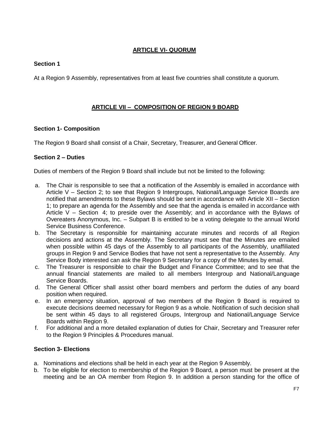# **ARTICLE VI- QUORUM**

# **Section 1**

At a Region 9 Assembly, representatives from at least five countries shall constitute a quorum.

## **ARTICLE VII – COMPOSITION OF REGION 9 BOARD**

## **Section 1- Composition**

The Region 9 Board shall consist of a Chair, Secretary, Treasurer, and General Officer.

## **Section 2 – Duties**

Duties of members of the Region 9 Board shall include but not be limited to the following:

- a. The Chair is responsible to see that a notification of the Assembly is emailed in accordance with Article V – Section 2; to see that Region 9 Intergroups, National/Language Service Boards are notified that amendments to these Bylaws should be sent in accordance with Article XII – Section 1; to prepare an agenda for the Assembly and see that the agenda is emailed in accordance with Article V – Section 4; to preside over the Assembly; and in accordance with the Bylaws of Overeaters Anonymous, Inc. – Subpart B is entitled to be a voting delegate to the annual World Service Business Conference.
- b. The Secretary is responsible for maintaining accurate minutes and records of all Region decisions and actions at the Assembly. The Secretary must see that the Minutes are emailed when possible within 45 days of the Assembly to all participants of the Assembly, unaffiliated groups in Region 9 and Service Bodies that have not sent a representative to the Assembly. Any Service Body interested can ask the Region 9 Secretary for a copy of the Minutes by email.
- c. The Treasurer is responsible to chair the Budget and Finance Committee; and to see that the annual financial statements are mailed to all members Intergroup and National/Language Service Boards.
- d. The General Officer shall assist other board members and perform the duties of any board position when required.
- e. In an emergency situation, approval of two members of the Region 9 Board is required to execute decisions deemed necessary for Region 9 as a whole. Notification of such decision shall be sent within 45 days to all registered Groups, Intergroup and National/Language Service Boards within Region 9.
- f. For additional and a more detailed explanation of duties for Chair, Secretary and Treasurer refer to the Region 9 Principles & Procedures manual.

# **Section 3- Elections**

- a. Nominations and elections shall be held in each year at the Region 9 Assembly.
- b. To be eligible for election to membership of the Region 9 Board, a person must be present at the meeting and be an OA member from Region 9. In addition a person standing for the office of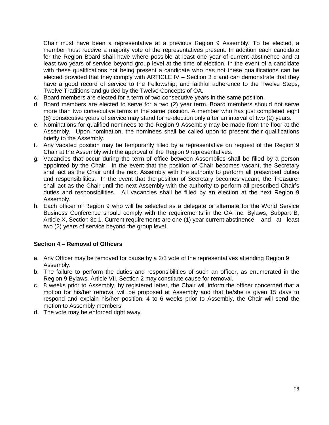Chair must have been a representative at a previous Region 9 Assembly. To be elected, a member must receive a majority vote of the representatives present. In addition each candidate for the Region Board shall have where possible at least one year of current abstinence and at least two years of service beyond group level at the time of election. In the event of a candidate with these qualifications not being present a candidate who has not these qualifications can be elected provided that they comply with ARTICLE IV – Section 3 c and can demonstrate that they have a good record of service to the Fellowship, and faithful adherence to the Twelve Steps, Twelve Traditions and guided by the Twelve Concepts of OA.

- c. Board members are elected for a term of two consecutive years in the same position.
- d. Board members are elected to serve for a two (2) year term. Board members should not serve more than two consecutive terms in the same position. A member who has just completed eight (8) consecutive years of service may stand for re-election only after an interval of two (2) years.
- e. Nominations for qualified nominees to the Region 9 Assembly may be made from the floor at the Assembly. Upon nomination, the nominees shall be called upon to present their qualifications briefly to the Assembly.
- f. Any vacated position may be temporarily filled by a representative on request of the Region 9 Chair at the Assembly with the approval of the Region 9 representatives.
- g. Vacancies that occur during the term of office between Assemblies shall be filled by a person appointed by the Chair. In the event that the position of Chair becomes vacant, the Secretary shall act as the Chair until the next Assembly with the authority to perform all prescribed duties and responsibilities. In the event that the position of Secretary becomes vacant, the Treasurer shall act as the Chair until the next Assembly with the authority to perform all prescribed Chair's duties and responsibilities. All vacancies shall be filled by an election at the next Region 9 Assembly.
- h. Each officer of Region 9 who will be selected as a delegate or alternate for the World Service Business Conference should comply with the requirements in the OA Inc. Bylaws, Subpart B, Article X, Section 3c 1. Current requirements are one (1) year current abstinence and at least two (2) years of service beyond the group level.

## **Section 4 – Removal of Officers**

- a. Any Officer may be removed for cause by a 2/3 vote of the representatives attending Region 9 Assembly.
- b. The failure to perform the duties and responsibilities of such an officer, as enumerated in the Region 9 Bylaws, Article VII, Section 2 may constitute cause for removal.
- c. 8 weeks prior to Assembly, by registered letter, the Chair will inform the officer concerned that a motion for his/her removal will be proposed at Assembly and that he/she is given 15 days to respond and explain his/her position. 4 to 6 weeks prior to Assembly, the Chair will send the motion to Assembly members.
- d. The vote may be enforced right away.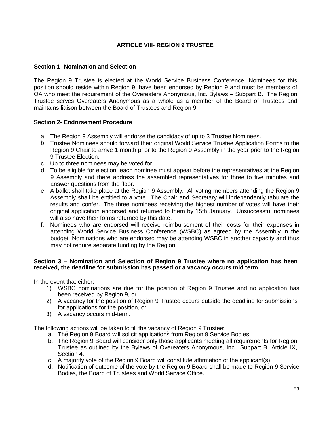## **ARTICLE VIII- REGION 9 TRUSTEE**

## **Section 1- Nomination and Selection**

The Region 9 Trustee is elected at the World Service Business Conference. Nominees for this position should reside within Region 9, have been endorsed by Region 9 and must be members of OA who meet the requirement of the Overeaters Anonymous, Inc. Bylaws – Subpart B. The Region Trustee serves Overeaters Anonymous as a whole as a member of the Board of Trustees and maintains liaison between the Board of Trustees and Region 9.

## **Section 2- Endorsement Procedure**

- a. The Region 9 Assembly will endorse the candidacy of up to 3 Trustee Nominees.
- b. Trustee Nominees should forward their original World Service Trustee Application Forms to the Region 9 Chair to arrive 1 month prior to the Region 9 Assembly in the year prior to the Region 9 Trustee Election.
- c. Up to three nominees may be voted for.
- d. To be eligible for election, each nominee must appear before the representatives at the Region 9 Assembly and there address the assembled representatives for three to five minutes and answer questions from the floor.
- e. A ballot shall take place at the Region 9 Assembly. All voting members attending the Region 9 Assembly shall be entitled to a vote. The Chair and Secretary will independently tabulate the results and confer. The three nominees receiving the highest number of votes will have their original application endorsed and returned to them by 15th January. Unsuccessful nominees will also have their forms returned by this date.
- f. Nominees who are endorsed will receive reimbursement of their costs for their expenses in attending World Service Business Conference (WSBC) as agreed by the Assembly in the budget. Nominations who are endorsed may be attending WSBC in another capacity and thus may not require separate funding by the Region.

## **Section 3 – Nomination and Selection of Region 9 Trustee where no application has been received, the deadline for submission has passed or a vacancy occurs mid term**

In the event that either:

- 1) WSBC nominations are due for the position of Region 9 Trustee and no application has been received by Region 9, or
- 2) A vacancy for the position of Region 9 Trustee occurs outside the deadline for submissions for applications for the position, or
- 3) A vacancy occurs mid-term.

The following actions will be taken to fill the vacancy of Region 9 Trustee:

- a. The Region 9 Board will solicit applications from Region 9 Service Bodies.
- b. The Region 9 Board will consider only those applicants meeting all requirements for Region Trustee as outlined by the Bylaws of Overeaters Anonymous, Inc., Subpart B, Article IX, Section 4.
- c. A majority vote of the Region 9 Board will constitute affirmation of the applicant(s).
- d. Notification of outcome of the vote by the Region 9 Board shall be made to Region 9 Service Bodies, the Board of Trustees and World Service Office.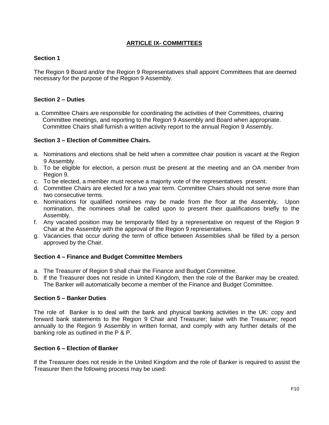# **ARTICLE IX- COMMITTEES**

## **Section 1**

The Region 9 Board and/or the Region 9 Representatives shall appoint Committees that are deemed necessary for the purpose of the Region 9 Assembly.

## **Section 2 – Duties**

a. Committee Chairs are responsible for coordinating the activities of their Committees, chairing Committee meetings, and reporting to the Region 9 Assembly and Board when appropriate. Committee Chairs shall furnish a written activity report to the annual Region 9 Assembly.

## **Section 3 – Election of Committee Chairs.**

- a. Nominations and elections shall be held when a committee chair position is vacant at the Region 9 Assembly.
- b. To be eligible for election, a person must be present at the meeting and an OA member from Region 9.
- c. To be elected, a member must receive a majority vote of the representatives present.
- d. Committee Chairs are elected for a two year term. Committee Chairs should not serve more than two consecutive terms.
- e. Nominations for qualified nominees may be made from the floor at the Assembly. Upon nomination, the nominees shall be called upon to present their qualifications briefly to the Assembly.
- f. Any vacated position may be temporarily filled by a representative on request of the Region 9 Chair at the Assembly with the approval of the Region 9 representatives.
- g. Vacancies that occur during the term of office between Assemblies shall be filled by a person approved by the Chair.

#### **Section 4 – Finance and Budget Committee Members**

- a. The Treasurer of Region 9 shall chair the Finance and Budget Committee.
- b. If the Treasurer does not reside in United Kingdom, then the role of the Banker may be created. The Banker will automatically become a member of the Finance and Budget Committee.

## **Section 5 – Banker Duties**

The role of Banker is to deal with the bank and physical banking activities in the UK: copy and forward bank statements to the Region 9 Chair and Treasurer; liaise with the Treasurer; report annually to the Region 9 Assembly in written format, and comply with any further details of the banking role as outlined in the P & P.

#### **Section 6 – Election of Banker**

If the Treasurer does not reside in the United Kingdom and the role of Banker is required to assist the Treasurer then the following process may be used: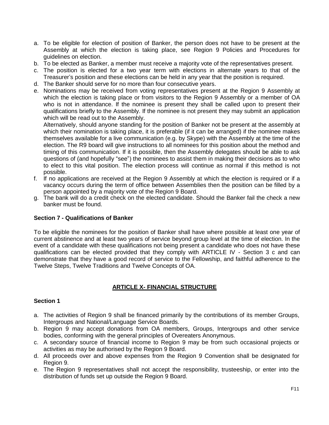- a. To be eligible for election of position of Banker, the person does not have to be present at the Assembly at which the election is taking place, see Region 9 Policies and Procedures for guidelines on election.
- b. To be elected as Banker, a member must receive a majority vote of the representatives present.
- c. The position is elected for a two year term with elections in alternate years to that of the Treasurer's position and these elections can be held in any year that the position is required.
- d. The Banker should serve for no more than four consecutive years.
- e. Nominations may be received from voting representatives present at the Region 9 Assembly at which the election is taking place or from visitors to the Region 9 Assembly or a member of OA who is not in attendance. If the nominee is present they shall be called upon to present their qualifications briefly to the Assembly. If the nominee is not present they may submit an application which will be read out to the Assembly.

Alternatively, should anyone standing for the position of Banker not be present at the assembly at which their nomination is taking place, it is preferable (if it can be arranged) if the nominee makes themselves available for a live communication (e.g. by Skype) with the Assembly at the time of the election. The R9 board will give instructions to all nominees for this position about the method and timing of this communication. If it is possible, then the Assembly delegates should be able to ask questions of (and hopefully "see") the nominees to assist them in making their decisions as to who to elect to this vital position. The election process will continue as normal if this method is not possible.

- f. If no applications are received at the Region 9 Assembly at which the election is required or if a vacancy occurs during the term of office between Assemblies then the position can be filled by a person appointed by a majority vote of the Region 9 Board.
- g. The bank will do a credit check on the elected candidate. Should the Banker fail the check a new banker must be found.

#### **Section 7 - Qualifications of Banker**

To be eligible the nominees for the position of Banker shall have where possible at least one year of current abstinence and at least two years of service beyond group level at the time of election. In the event of a candidate with these qualifications not being present a candidate who does not have these qualifications can be elected provided that they comply with ARTICLE IV - Section 3 c and can demonstrate that they have a good record of service to the Fellowship, and faithful adherence to the Twelve Steps, Twelve Traditions and Twelve Concepts of OA.

## **ARTICLE X- FINANCIAL STRUCTURE**

## **Section 1**

- a. The activities of Region 9 shall be financed primarily by the contributions of its member Groups, Intergroups and National/Language Service Boards.
- b. Region 9 may accept donations from OA members, Groups, Intergroups and other service bodies, conforming with the general principles of Overeaters Anonymous.
- c. A secondary source of financial income to Region 9 may be from such occasional projects or activities as may be authorised by the Region 9 Board.
- d. All proceeds over and above expenses from the Region 9 Convention shall be designated for Region 9.
- e. The Region 9 representatives shall not accept the responsibility, trusteeship, or enter into the distribution of funds set up outside the Region 9 Board.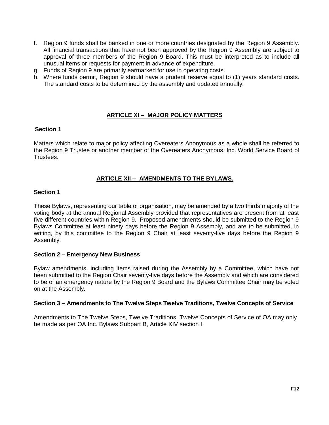- f. Region 9 funds shall be banked in one or more countries designated by the Region 9 Assembly. All financial transactions that have not been approved by the Region 9 Assembly are subject to approval of three members of the Region 9 Board. This must be interpreted as to include all unusual items or requests for payment in advance of expenditure.
- g. Funds of Region 9 are primarily earmarked for use in operating costs.
- h. Where funds permit, Region 9 should have a prudent reserve equal to (1) years standard costs. The standard costs to be determined by the assembly and updated annually.

## **ARTICLE XI – MAJOR POLICY MATTERS**

## **Section 1**

Matters which relate to major policy affecting Overeaters Anonymous as a whole shall be referred to the Region 9 Trustee or another member of the Overeaters Anonymous, Inc. World Service Board of Trustees.

## **ARTICLE XII – AMENDMENTS TO THE BYLAWS.**

## **Section 1**

These Bylaws, representing our table of organisation, may be amended by a two thirds majority of the voting body at the annual Regional Assembly provided that representatives are present from at least five different countries within Region 9. Proposed amendments should be submitted to the Region 9 Bylaws Committee at least ninety days before the Region 9 Assembly, and are to be submitted, in writing, by this committee to the Region 9 Chair at least seventy-five days before the Region 9 Assembly.

## **Section 2 – Emergency New Business**

Bylaw amendments, including items raised during the Assembly by a Committee, which have not been submitted to the Region Chair seventy-five days before the Assembly and which are considered to be of an emergency nature by the Region 9 Board and the Bylaws Committee Chair may be voted on at the Assembly.

#### **Section 3 – Amendments to The Twelve Steps Twelve Traditions, Twelve Concepts of Service**

Amendments to The Twelve Steps, Twelve Traditions, Twelve Concepts of Service of OA may only be made as per OA Inc. Bylaws Subpart B, Article XIV section I.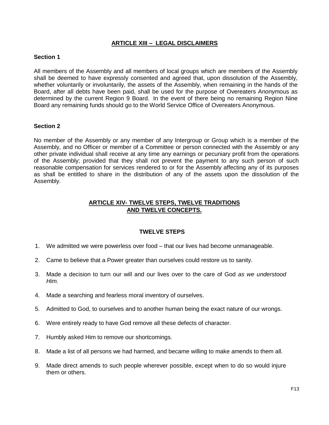## **ARTICLE XIII – LEGAL DISCLAIMERS**

## **Section 1**

All members of the Assembly and all members of local groups which are members of the Assembly shall be deemed to have expressly consented and agreed that, upon dissolution of the Assembly, whether voluntarily or involuntarily, the assets of the Assembly, when remaining in the hands of the Board, after all debts have been paid, shall be used for the purpose of Overeaters Anonymous as determined by the current Region 9 Board. In the event of there being no remaining Region Nine Board any remaining funds should go to the World Service Office of Overeaters Anonymous.

## **Section 2**

No member of the Assembly or any member of any Intergroup or Group which is a member of the Assembly, and no Officer or member of a Committee or person connected with the Assembly or any other private individual shall receive at any time any earnings or pecuniary profit from the operations of the Assembly; provided that they shall not prevent the payment to any such person of such reasonable compensation for services rendered to or for the Assembly affecting any of its purposes as shall be entitled to share in the distribution of any of the assets upon the dissolution of the Assembly.

## **ARTICLE XIV- TWELVE STEPS, TWELVE TRADITIONS AND TWELVE CONCEPTS.**

#### **TWELVE STEPS**

- 1. We admitted we were powerless over food that our lives had become unmanageable.
- 2. Came to believe that a Power greater than ourselves could restore us to sanity.
- 3. Made a decision to turn our will and our lives over to the care of God *as we understood Him.*
- 4. Made a searching and fearless moral inventory of ourselves.
- 5. Admitted to God, to ourselves and to another human being the exact nature of our wrongs.
- 6. Were entirely ready to have God remove all these defects of character.
- 7. Humbly asked Him to remove our shortcomings.
- 8. Made a list of all persons we had harmed, and became willing to make amends to them all.
- 9. Made direct amends to such people wherever possible, except when to do so would injure them or others.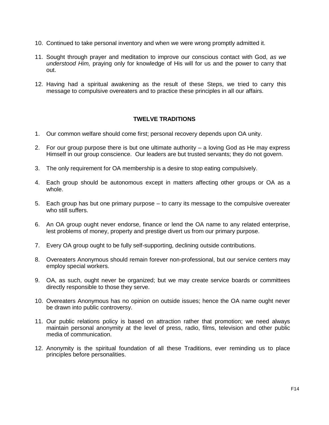- 10. Continued to take personal inventory and when we were wrong promptly admitted it.
- 11. Sought through prayer and meditation to improve our conscious contact with God, *as we understood Him,* praying only for knowledge of His will for us and the power to carry that out.
- 12. Having had a spiritual awakening as the result of these Steps, we tried to carry this message to compulsive overeaters and to practice these principles in all our affairs.

## **TWELVE TRADITIONS**

- 1. Our common welfare should come first; personal recovery depends upon OA unity.
- 2. For our group purpose there is but one ultimate authority a loving God as He may express Himself in our group conscience. Our leaders are but trusted servants; they do not govern.
- 3. The only requirement for OA membership is a desire to stop eating compulsively.
- 4. Each group should be autonomous except in matters affecting other groups or OA as a whole.
- 5. Each group has but one primary purpose to carry its message to the compulsive overeater who still suffers.
- 6. An OA group ought never endorse, finance or lend the OA name to any related enterprise, lest problems of money, property and prestige divert us from our primary purpose.
- 7. Every OA group ought to be fully self-supporting, declining outside contributions.
- 8. Overeaters Anonymous should remain forever non-professional, but our service centers may employ special workers.
- 9. OA, as such, ought never be organized; but we may create service boards or committees directly responsible to those they serve.
- 10. Overeaters Anonymous has no opinion on outside issues; hence the OA name ought never be drawn into public controversy.
- 11. Our public relations policy is based on attraction rather that promotion; we need always maintain personal anonymity at the level of press, radio, films, television and other public media of communication.
- 12. Anonymity is the spiritual foundation of all these Traditions, ever reminding us to place principles before personalities.